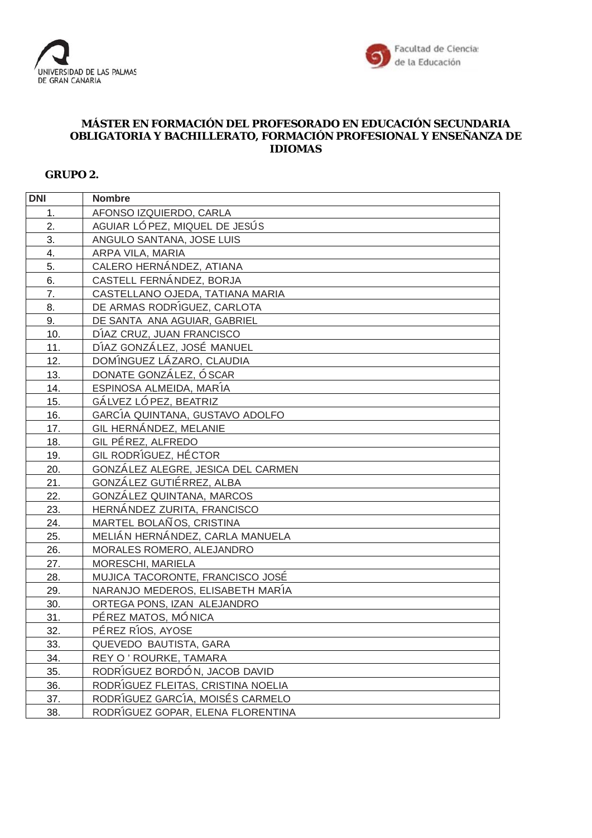



## **MÁSTER EN FORMACIÓN DEL PROFESORADO EN EDUCACIÓN SECUNDARIA OBLIGATORIA Y BACHILLERATO, FORMACIÓN PROFESIONAL Y ENSEÑANZA DE IDIOMAS**

## **GRUPO 2.**

| <b>DNI</b>       | <b>Nombre</b>                      |
|------------------|------------------------------------|
| 1.               | AFONSO IZQUIERDO, CARLA            |
| 2.               | AGUIAR LÓ PEZ, MIQUEL DE JESÚS     |
| 3.               | ANGULO SANTANA, JOSE LUIS          |
| $\overline{4}$ . | ARPA VILA, MARIA                   |
| 5.               | CALERO HERNÁNDEZ, ATIANA           |
| 6.               | CASTELL FERNÁNDEZ, BORJA           |
| 7.               | CASTELLANO OJEDA, TATIANA MARIA    |
| 8.               | DE ARMAS RODRÍGUEZ, CARLOTA        |
| 9.               | DE SANTA ANA AGUIAR, GABRIEL       |
| 10.              | DÍAZ CRUZ, JUAN FRANCISCO          |
| 11.              | DÍAZ GONZÁLEZ, JOSÉ MANUEL         |
| 12.              | DOMÍNGUEZ LÁZARO, CLAUDIA          |
| 13.              | DONATE GONZÁLEZ, Ó SCAR            |
| 14.              | ESPINOSA ALMEIDA, MARÍA            |
| 15.              | GÁLVEZ LÓ PEZ, BEATRIZ             |
| 16.              | GARCÍA QUINTANA, GUSTAVO ADOLFO    |
| 17.              | GIL HERNÁNDEZ, MELANIE             |
| 18.              | GIL PÉREZ, ALFREDO                 |
| 19.              | GIL RODRÍGUEZ, HÉCTOR              |
| 20.              | GONZÁLEZ ALEGRE, JESICA DEL CARMEN |
| 21.              | GONZÁLEZ GUTIÉRREZ, ALBA           |
| 22.              | GONZÁLEZ QUINTANA, MARCOS          |
| 23.              | HERNÁNDEZ ZURITA, FRANCISCO        |
| 24.              | MARTEL BOLAÑOS, CRISTINA           |
| 25.              | MELIÁN HERNÁNDEZ, CARLA MANUELA    |
| 26.              | MORALES ROMERO, ALEJANDRO          |
| 27.              | MORESCHI, MARIELA                  |
| 28.              | MUJICA TACORONTE, FRANCISCO JOSÉ   |
| 29.              | NARANJO MEDEROS, ELISABETH MARÍA   |
| 30.              | ORTEGA PONS, IZAN ALEJANDRO        |
| 31.              | PÉREZ MATOS, MÓNICA                |
| 32.              | PÉREZ RÍOS, AYOSE                  |
| 33.              | QUEVEDO BAUTISTA, GARA             |
| 34.              | REY O' ROURKE, TAMARA              |
| 35.              | RODRÍGUEZ BORDÓN, JACOB DAVID      |
| 36.              | RODRÍGUEZ FLEITAS, CRISTINA NOELIA |
| 37.              | RODRÍGUEZ GARCÍA, MOISÉS CARMELO   |
| 38.              | RODRÍGUEZ GOPAR, ELENA FLORENTINA  |